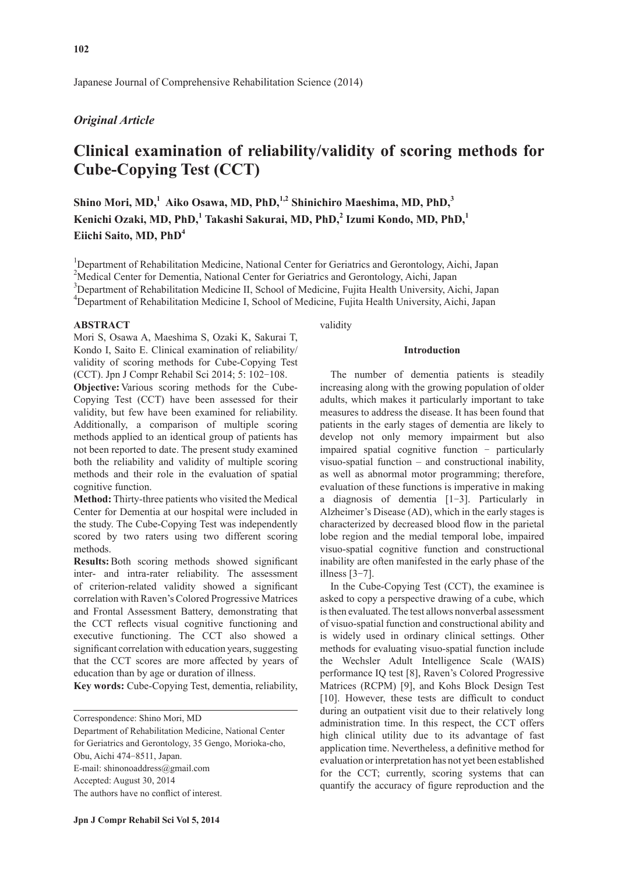Japanese Journal of Comprehensive Rehabilitation Science (2014)

## *Original Article*

# **Clinical examination of reliability/validity of scoring methods for Cube-Copying Test (CCT)**

Shino Mori, MD,<sup>1</sup> Aiko Osawa, MD, PhD,<sup>1,2</sup> Shinichiro Maeshima, MD, PhD,<sup>3</sup> **Kenichi Ozaki, MD, PhD,1 Takashi Sakurai, MD, PhD,<sup>2</sup> Izumi Kondo, MD, PhD,<sup>1</sup> Eiichi Saito, MD, PhD4**

<sup>1</sup>Department of Rehabilitation Medicine, National Center for Geriatrics and Gerontology, Aichi, Japan <sup>2</sup>Medical Center for Dementia, National Center for Geriatrics and Gerontology, Aichi, Japan <sup>3</sup>Department of Rehabilitation Medicine II, School of Medicine, Fujita Health University, Aichi, Japan

<sup>4</sup>Department of Rehabilitation Medicine I, School of Medicine, Fujita Health University, Aichi, Japan

## **ABSTRACT**

Mori S, Osawa A, Maeshima S, Ozaki K, Sakurai T, Kondo I, Saito E. Clinical examination of reliability/ validity of scoring methods for Cube-Copying Test (CCT). Jpn J Compr Rehabil Sci 2014; 5: 102-108.

**Objective:** Various scoring methods for the Cube-Copying Test (CCT) have been assessed for their validity, but few have been examined for reliability. Additionally, a comparison of multiple scoring methods applied to an identical group of patients has not been reported to date. The present study examined both the reliability and validity of multiple scoring methods and their role in the evaluation of spatial cognitive function.

**Method:** Thirty-three patients who visited the Medical Center for Dementia at our hospital were included in the study. The Cube-Copying Test was independently scored by two raters using two different scoring methods.

**Results:**Both scoring methods showed significant inter- and intra-rater reliability. The assessment of criterion-related validity showed a significant correlation with Raven's Colored Progressive Matrices and Frontal Assessment Battery, demonstrating that the CCT reflects visual cognitive functioning and executive functioning. The CCT also showed a significant correlation with education years, suggesting that the CCT scores are more affected by years of education than by age or duration of illness.

**Key words:** Cube-Copying Test, dementia, reliability,

Correspondence: Shino Mori, MD

Department of Rehabilitation Medicine, National Center for Geriatrics and Gerontology, 35 Gengo, Morioka-cho, Obu, Aichi 474-8511, Japan. E-mail: shinonoaddress@gmail.com Accepted: August 30, 2014 The authors have no conflict of interest.

validity

## **Introduction**

The number of dementia patients is steadily increasing along with the growing population of older adults, which makes it particularly important to take measures to address the disease. It has been found that patients in the early stages of dementia are likely to develop not only memory impairment but also impaired spatial cognitive function - particularly visuo-spatial function – and constructional inability, as well as abnormal motor programming; therefore, evaluation of these functions is imperative in making a diagnosis of dementia [1-3]. Particularly in Alzheimer's Disease (AD), which in the early stages is characterized by decreased blood flow in the parietal lobe region and the medial temporal lobe, impaired visuo-spatial cognitive function and constructional inability are often manifested in the early phase of the illness [3-7].

In the Cube-Copying Test (CCT), the examinee is asked to copy a perspective drawing of a cube, which is then evaluated. The test allows nonverbal assessment of visuo-spatial function and constructional ability and is widely used in ordinary clinical settings. Other methods for evaluating visuo-spatial function include the Wechsler Adult Intelligence Scale (WAIS) performance IQ test [8], Raven's Colored Progressive Matrices (RCPM) [9], and Kohs Block Design Test [10]. However, these tests are difficult to conduct during an outpatient visit due to their relatively long administration time. In this respect, the CCT offers high clinical utility due to its advantage of fast application time. Nevertheless, a definitive method for evaluation or interpretation has not yet been established for the CCT; currently, scoring systems that can quantify the accuracy of figure reproduction and the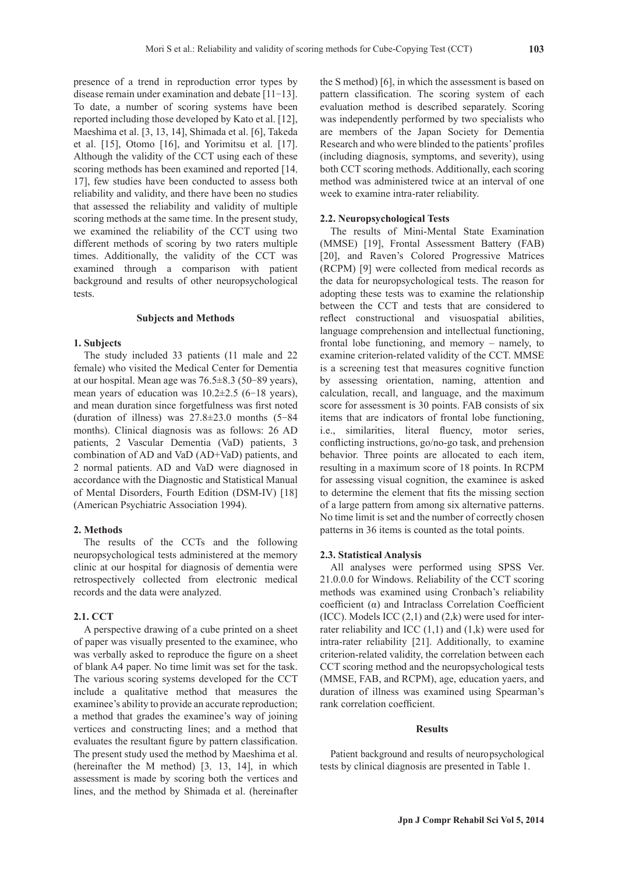presence of a trend in reproduction error types by disease remain under examination and debate [11-13]. To date, a number of scoring systems have been reported including those developed by Kato et al. [12], Maeshima et al. [3, 13, 14], Shimada et al. [6], Takeda et al. [15], Otomo [16], and Yorimitsu et al. [17]. Although the validity of the CCT using each of these scoring methods has been examined and reported [14, 17], few studies have been conducted to assess both reliability and validity, and there have been no studies that assessed the reliability and validity of multiple scoring methods at the same time. In the present study, we examined the reliability of the CCT using two different methods of scoring by two raters multiple times. Additionally, the validity of the CCT was examined through a comparison with patient background and results of other neuropsychological tests.

#### **Subjects and Methods**

#### **1. Subjects**

The study included 33 patients (11 male and 22 female) who visited the Medical Center for Dementia at our hospital. Mean age was 76.5±8.3 (50-89 years), mean years of education was  $10.2\pm2.5$  (6-18 years), and mean duration since forgetfulness was first noted (duration of illness) was 27.8±23.0 months (5-84 months). Clinical diagnosis was as follows: 26 AD patients, 2 Vascular Dementia (VaD) patients, 3 combination of AD and VaD (AD+VaD) patients, and 2 normal patients. AD and VaD were diagnosed in accordance with the Diagnostic and Statistical Manual of Mental Disorders, Fourth Edition (DSM-IV) [18] (American Psychiatric Association 1994).

## **2. Methods**

The results of the CCTs and the following neuropsychological tests administered at the memory clinic at our hospital for diagnosis of dementia were retrospectively collected from electronic medical records and the data were analyzed.

## **2.1. CCT**

A perspective drawing of a cube printed on a sheet of paper was visually presented to the examinee, who was verbally asked to reproduce the figure on a sheet of blank A4 paper. No time limit was set for the task. The various scoring systems developed for the CCT include a qualitative method that measures the examinee's ability to provide an accurate reproduction; a method that grades the examinee's way of joining vertices and constructing lines; and a method that evaluates the resultant figure by pattern classification. The present study used the method by Maeshima et al. (hereinafter the M method) [3, 13, 14], in which assessment is made by scoring both the vertices and lines, and the method by Shimada et al. (hereinafter

the S method) [6], in which the assessment is based on pattern classification. The scoring system of each evaluation method is described separately. Scoring was independently performed by two specialists who are members of the Japan Society for Dementia Research and who were blinded to the patients' profiles (including diagnosis, symptoms, and severity), using both CCT scoring methods. Additionally, each scoring method was administered twice at an interval of one week to examine intra-rater reliability.

## **2.2. Neuropsychological Tests**

The results of Mini-Mental State Examination (MMSE) [19], Frontal Assessment Battery (FAB) [20], and Raven's Colored Progressive Matrices (RCPM) [9] were collected from medical records as the data for neuropsychological tests. The reason for adopting these tests was to examine the relationship between the CCT and tests that are considered to reflect constructional and visuospatial abilities, language comprehension and intellectual functioning, frontal lobe functioning, and memory – namely, to examine criterion-related validity of the CCT. MMSE is a screening test that measures cognitive function by assessing orientation, naming, attention and calculation, recall, and language, and the maximum score for assessment is 30 points. FAB consists of six items that are indicators of frontal lobe functioning, i.e., similarities, literal fluency, motor series, conflicting instructions, go/no-go task, and prehension behavior. Three points are allocated to each item, resulting in a maximum score of 18 points. In RCPM for assessing visual cognition, the examinee is asked to determine the element that fits the missing section of a large pattern from among six alternative patterns. No time limit is set and the number of correctly chosen patterns in 36 items is counted as the total points.

#### **2.3. Statistical Analysis**

All analyses were performed using SPSS Ver. 21.0.0.0 for Windows. Reliability of the CCT scoring methods was examined using Cronbach's reliability coefficient (α) and Intraclass Correlation Coefficient (ICC). Models ICC  $(2,1)$  and  $(2,k)$  were used for interrater reliability and ICC (1,1) and (1,k) were used for intra-rater reliability [21]. Additionally, to examine criterion-related validity, the correlation between each CCT scoring method and the neuropsychological tests (MMSE, FAB, and RCPM), age, education yaers, and duration of illness was examined using Spearman's rank correlation coefficient.

#### **Results**

Patient background and results of neuropsychological tests by clinical diagnosis are presented in Table 1.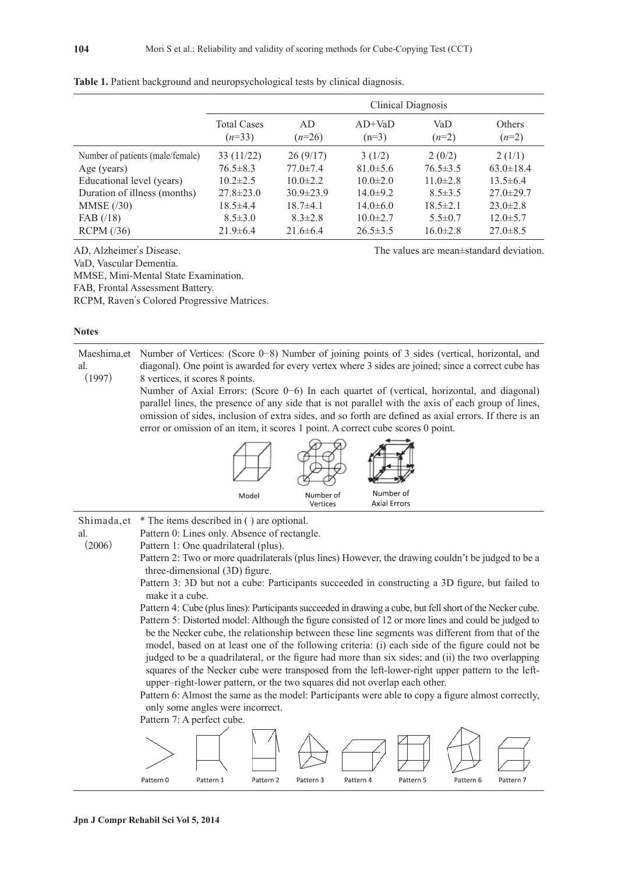|                                  | Clinical Diagnosis             |                 |                     |                |                          |
|----------------------------------|--------------------------------|-----------------|---------------------|----------------|--------------------------|
|                                  | <b>Total Cases</b><br>$(n=33)$ | AD.<br>$(n=26)$ | $AD+VaD$<br>$(n=3)$ | VaD<br>$(n=2)$ | <b>Others</b><br>$(n=2)$ |
| Number of patients (male/female) | 33(11/22)                      | 26(9/17)        | 3(1/2)              | 2(0/2)         | 2(1/1)                   |
| Age (years)                      | $76.5 \pm 8.3$                 | $77.0 \pm 7.4$  | $81.0 \pm 5.6$      | $76.5 \pm 3.5$ | $63.0 \pm 18.4$          |
| Educational level (years)        | $10.2 \pm 2.5$                 | $10.0 \pm 2.2$  | $10.0 \pm 2.0$      | $11.0 \pm 2.8$ | $13.5 \pm 6.4$           |
| Duration of illness (months)     | $27.8 \pm 23.0$                | $30.9 \pm 23.9$ | $14.0 \pm 9.2$      | $8.5 \pm 3.5$  | $27.0 \pm 29.7$          |
| MMSE(30)                         | $18.5 \pm 4.4$                 | $18.7 + 4.1$    | $14.0\pm 6.0$       | $18.5 \pm 2.1$ | $23.0 \pm 2.8$           |
| $FAB$ (/18)                      | $8.5 \pm 3.0$                  | $8.3 \pm 2.8$   | $10.0 \pm 2.7$      | $5.5 \pm 0.7$  | $12.0 \pm 5.7$           |
| RCPM (36)                        | $21.9\pm 6.4$                  | $21.6 \pm 6.4$  | $26.5 \pm 3.5$      | $16.0 \pm 2.8$ | $27.0 \pm 8.5$           |

**Table 1.** Patient background and neuropsychological tests by clinical diagnosis.

AD, Alzheimer's Disease. The values are mean±standard deviation.

VaD, Vascular Dementia.

MMSE, Mini-Mental State Examination.

FAB, Frontal Assessment Battery.

RCPM, Raven's Colored Progressive Matrices.

| ٧ |
|---|
|   |

al.

Maeshima,et al. (1997) Number of Vertices: (Score 0−8) Number of joining points of 3 sides (vertical, horizontal, and diagonal). One point is awarded for every vertex where 3 sides are joined; since a correct cube has 8 vertices, it scores 8 points.

> Number of Axial Errors: (Score 0−6) In each quartet of (vertical, horizontal, and diagonal) parallel lines, the presence of any side that is not parallel with the axis of each group of lines, omission of sides, inclusion of extra sides, and so forth are defined as axial errors. If there is an error or omission of an item, it scores 1 point. A correct cube scores 0 point.



Shimada,et \* The items described in ( ) are optional.

Pattern 0: Lines only. Absence of rectangle.

 $(2006)$ Pattern 1: One quadrilateral (plus).

> Pattern 2: Two or more quadrilaterals (plus lines) However, the drawing couldn't be judged to be a three-dimensional (3D) figure.

Pattern 3: 3D but not a cube: Participants succeeded in constructing a 3D figure, but failed to make it a cube.

Pattern 4: Cube (plus lines): Participants succeeded in drawing a cube, but fell short of the Necker cube. Pattern 5: Distorted model: Although the figure consisted of 12 or more lines and could be judged to be the Necker cube, the relationship between these line segments was different from that of the model, based on at least one of the following criteria: (i) each side of the figure could not be judged to be a quadrilateral, or the figure had more than six sides; and (ii) the two overlapping squares of the Necker cube were transposed from the left-lower-right upper pattern to the leftupper–right-lower pattern, or the two squares did not overlap each other.

Pattern 6: Almost the same as the model: Participants were able to copy a figure almost correctly, only some angles were incorrect.



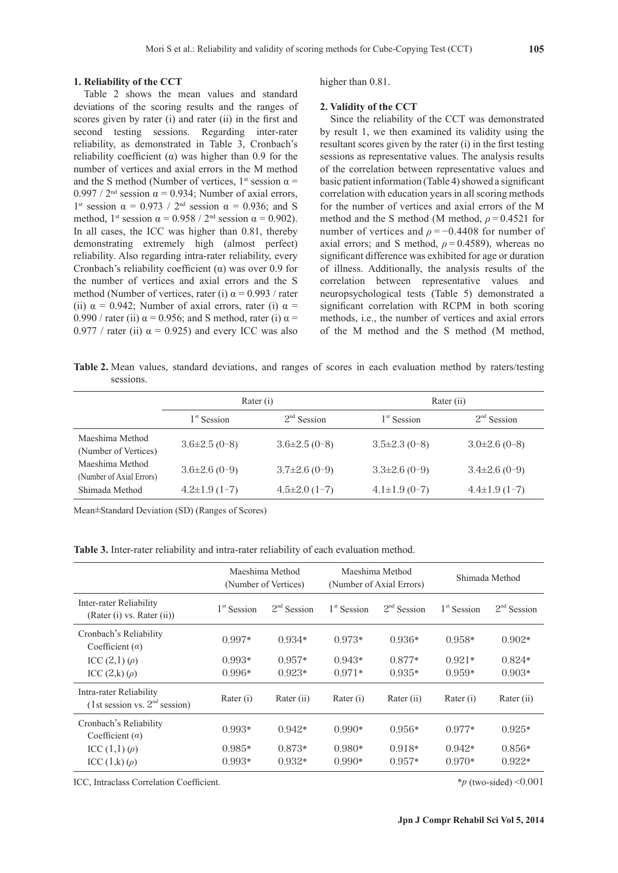#### **1. Reliability of the CCT**

Table 2 shows the mean values and standard deviations of the scoring results and the ranges of scores given by rater (i) and rater (ii) in the first and second testing sessions. Regarding inter-rater reliability, as demonstrated in Table 3, Cronbach's reliability coefficient (α) was higher than 0.9 for the number of vertices and axial errors in the M method and the S method (Number of vertices,  $1^{st}$  session  $\alpha$  =  $0.997 / 2<sup>nd</sup>$  session  $\alpha = 0.934$ ; Number of axial errors, 1<sup>st</sup> session  $\alpha = 0.973 / 2^{nd}$  session  $\alpha = 0.936$ ; and S method, 1<sup>st</sup> session  $\alpha$  = 0.958 / 2<sup>nd</sup> session  $\alpha$  = 0.902). In all cases, the ICC was higher than 0.81, thereby demonstrating extremely high (almost perfect) reliability. Also regarding intra-rater reliability, every Cronbach's reliability coefficient (α) was over 0.9 for the number of vertices and axial errors and the S method (Number of vertices, rater (i)  $\alpha$  = 0.993 / rater (ii)  $\alpha$  = 0.942; Number of axial errors, rater (i)  $\alpha$  = 0.990 / rater (ii)  $\alpha$  = 0.956; and S method, rater (i)  $\alpha$  = 0.977 / rater (ii)  $\alpha$  = 0.925) and every ICC was also higher than  $0.81$ .

## **2. Validity of the CCT**

Since the reliability of the CCT was demonstrated by result 1, we then examined its validity using the resultant scores given by the rater (i) in the first testing sessions as representative values. The analysis results of the correlation between representative values and basic patient information (Table 4) showed a significant correlation with education years in all scoring methods for the number of vertices and axial errors of the M method and the S method (M method,  $\rho = 0.4521$  for number of vertices and  $\rho = -0.4408$  for number of axial errors; and S method,  $\rho = 0.4589$ ), whereas no significant difference was exhibited for age or duration of illness. Additionally, the analysis results of the correlation between representative values and neuropsychological tests (Table 5) demonstrated a significant correlation with RCPM in both scoring methods, i.e., the number of vertices and axial errors of the M method and the S method (M method,

**Table 2.** Mean values, standard deviations, and ranges of scores in each evaluation method by raters/testing sessions.

|                                             | Rater (i)            |                  | Rater (ii)          |                      |  |
|---------------------------------------------|----------------------|------------------|---------------------|----------------------|--|
|                                             | $1st$ Session        | $2nd$ Session    | $1st$ Session       | $2nd$ Session        |  |
| Maeshima Method<br>(Number of Vertices)     | $3.6\pm2.5(0-8)$     | $3.6\pm2.5(0-8)$ | $3.5\pm2.3(0-8)$    | $3.0\pm2.6(0-8)$     |  |
| Maeshima Method<br>(Number of Axial Errors) | $3.6\pm2.6(0-9)$     | $3.7\pm2.6(0-9)$ | $3.3\pm2.6(0-9)$    | $3.4\pm2.6(0-9)$     |  |
| Shimada Method                              | $4.2 \pm 1.9(1 - 7)$ | $4.5\pm2.0(1-7)$ | $4.1 \pm 1.9$ (0-7) | $4.4 \pm 1.9(1 - 7)$ |  |

Mean±Standard Deviation (SD) (Ranges of Scores)

| <b>Table 3.</b> Inter-rater reliability and intra-rater reliability of each evaluation method. |  |  |  |  |
|------------------------------------------------------------------------------------------------|--|--|--|--|
|------------------------------------------------------------------------------------------------|--|--|--|--|

|                                                            |               | Maeshima Method<br>(Number of Vertices) | Maeshima Method<br>(Number of Axial Errors) |               | Shimada Method |               |
|------------------------------------------------------------|---------------|-----------------------------------------|---------------------------------------------|---------------|----------------|---------------|
| Inter-rater Reliability<br>(Rater (i) vs. Rater (ii))      | $1st$ Session | $2nd$ Session                           | $1st$ Session                               | $2nd$ Session | $1st$ Session  | $2nd$ Session |
| Cronbach's Reliability<br>Coefficient $(a)$                | $0.997*$      | $0.934*$                                | $0.973*$                                    | $0.936*$      | $0.958*$       | $0.902*$      |
| ICC $(2,1)$ $(\rho)$                                       | $0.993*$      | $0.957*$                                | $0.943*$                                    | $0.877*$      | $0.921*$       | $0.824*$      |
| ICC $(2,k)$ $(\rho)$                                       | $0.996*$      | $0.923*$                                | $0.971*$                                    | $0.935*$      | $0.959*$       | $0.903*$      |
| Intra-rater Reliability<br>(1st session vs. $2nd$ session) | Rater (i)     | Rater (ii)                              | Rater (i)                                   | Rater $(ii)$  | Rater (i)      | Rater (ii)    |
| Cronbach's Reliability<br>Coefficient $(a)$                | $0.993*$      | $0.942*$                                | $0.990*$                                    | $0.956*$      | $0.977*$       | $0.925*$      |
| ICC $(1,1)$ $(\rho)$                                       | $0.985*$      | $0.873*$                                | $0.980*$                                    | $0.918*$      | $0.942*$       | $0.856*$      |
| ICC $(1,k)$ $(\rho)$                                       | $0.993*$      | $0.932*$                                | $0.990*$                                    | $0.957*$      | $0.970*$       | $0.922*$      |

ICC, Intraclass Correlation Coefficient. \**p* (two-sided) <0.001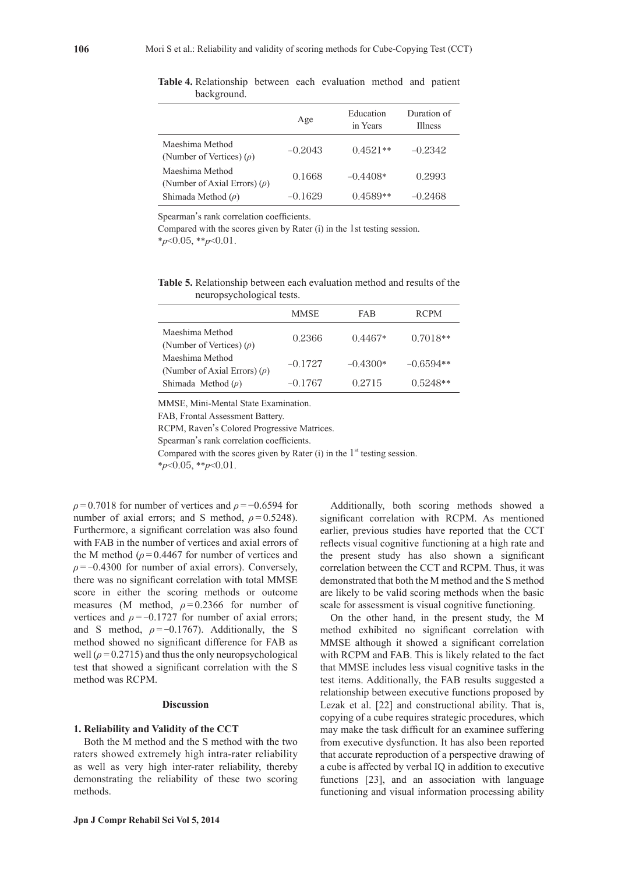|                                                      | Age       | Education<br>in Years | Duration of<br><b>Illness</b> |
|------------------------------------------------------|-----------|-----------------------|-------------------------------|
| Maeshima Method<br>(Number of Vertices) $(\rho)$     | $-0.2043$ | $0.4521**$            | $-0.2342$                     |
| Maeshima Method<br>(Number of Axial Errors) $(\rho)$ | 0.1668    | $-0.4408*$            | 0 2993                        |
| Shimada Method $(\rho)$                              | $-0.1629$ | $0.4589**$            | $-0.2468$                     |

**Table 4.** Relationship between each evaluation method and patient background.

Spearman's rank correlation coefficients.

Compared with the scores given by Rater (i) in the 1st testing session. \**p*<0.05, \*\**p*<0.01.

**Table 5.** Relationship between each evaluation method and results of the neuropsychological tests.

|                                                      | <b>MMSE</b> | FAB        | <b>RCPM</b> |
|------------------------------------------------------|-------------|------------|-------------|
| Maeshima Method<br>(Number of Vertices) $(\rho)$     | 0.2366      | $0.4467*$  | $0.7018**$  |
| Maeshima Method<br>(Number of Axial Errors) $(\rho)$ | $-0.1727$   | $-0.4300*$ | $-0.6594**$ |
| Shimada Method $(\rho)$                              | $-0.1767$   | 0.2715     | $0.5248**$  |

MMSE, Mini-Mental State Examination.

FAB, Frontal Assessment Battery.

RCPM, Raven's Colored Progressive Matrices.

Spearman's rank correlation coefficients.

Compared with the scores given by Rater  $(i)$  in the  $1<sup>st</sup>$  testing session.

\**p*<0.05, \*\**p*<0.01.

*ρ* = 0.7018 for number of vertices and *ρ* = −0.6594 for number of axial errors; and S method,  $\rho = 0.5248$ ). Furthermore, a significant correlation was also found with FAB in the number of vertices and axial errors of the M method ( $\rho$  = 0.4467 for number of vertices and  $\rho = -0.4300$  for number of axial errors). Conversely, there was no significant correlation with total MMSE score in either the scoring methods or outcome measures (M method,  $\rho = 0.2366$  for number of vertices and  $\rho = -0.1727$  for number of axial errors; and S method,  $\rho = -0.1767$ ). Additionally, the S method showed no significant difference for FAB as well  $(\rho = 0.2715)$  and thus the only neuropsychological test that showed a significant correlation with the S method was RCPM.

## **Discussion**

#### **1. Reliability and Validity of the CCT**

Both the M method and the S method with the two raters showed extremely high intra-rater reliability as well as very high inter-rater reliability, thereby demonstrating the reliability of these two scoring methods.

Additionally, both scoring methods showed a significant correlation with RCPM. As mentioned earlier, previous studies have reported that the CCT reflects visual cognitive functioning at a high rate and the present study has also shown a significant correlation between the CCT and RCPM. Thus, it was demonstrated that both the M method and the S method are likely to be valid scoring methods when the basic scale for assessment is visual cognitive functioning.

On the other hand, in the present study, the M method exhibited no significant correlation with MMSE although it showed a significant correlation with RCPM and FAB. This is likely related to the fact that MMSE includes less visual cognitive tasks in the test items. Additionally, the FAB results suggested a relationship between executive functions proposed by Lezak et al. [22] and constructional ability. That is, copying of a cube requires strategic procedures, which may make the task difficult for an examinee suffering from executive dysfunction. It has also been reported that accurate reproduction of a perspective drawing of a cube is affected by verbal IQ in addition to executive functions [23], and an association with language functioning and visual information processing ability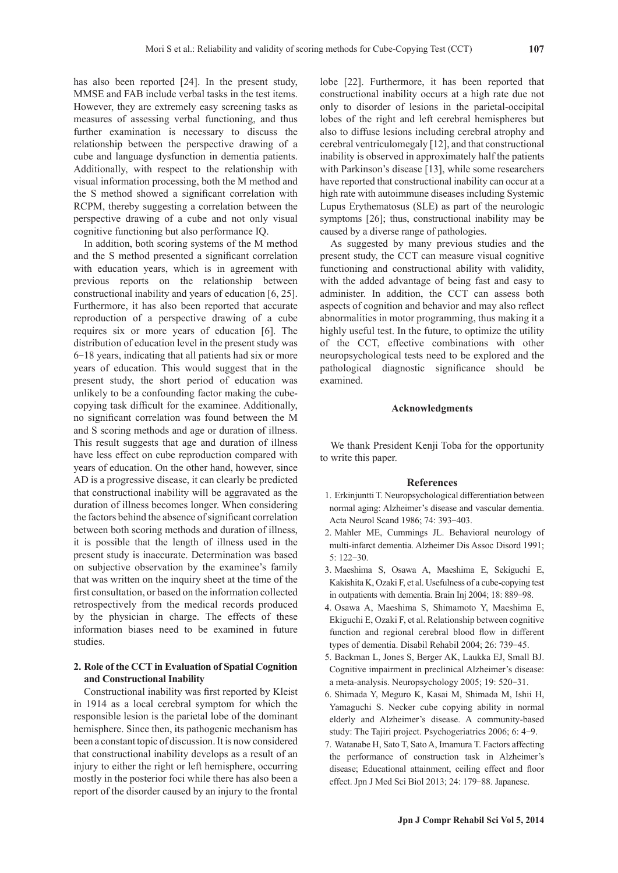has also been reported [24]. In the present study, MMSE and FAB include verbal tasks in the test items. However, they are extremely easy screening tasks as measures of assessing verbal functioning, and thus further examination is necessary to discuss the relationship between the perspective drawing of a cube and language dysfunction in dementia patients. Additionally, with respect to the relationship with visual information processing, both the M method and the S method showed a significant correlation with RCPM, thereby suggesting a correlation between the perspective drawing of a cube and not only visual cognitive functioning but also performance IQ.

In addition, both scoring systems of the M method and the S method presented a significant correlation with education years, which is in agreement with previous reports on the relationship between constructional inability and years of education [6, 25]. Furthermore, it has also been reported that accurate reproduction of a perspective drawing of a cube requires six or more years of education [6]. The distribution of education level in the present study was 6-18 years, indicating that all patients had six or more years of education. This would suggest that in the present study, the short period of education was unlikely to be a confounding factor making the cubecopying task difficult for the examinee. Additionally, no significant correlation was found between the M and S scoring methods and age or duration of illness. This result suggests that age and duration of illness have less effect on cube reproduction compared with years of education. On the other hand, however, since AD is a progressive disease, it can clearly be predicted that constructional inability will be aggravated as the duration of illness becomes longer. When considering the factors behind the absence of significant correlation between both scoring methods and duration of illness, it is possible that the length of illness used in the present study is inaccurate. Determination was based on subjective observation by the examinee's family that was written on the inquiry sheet at the time of the first consultation, or based on the information collected retrospectively from the medical records produced by the physician in charge. The effects of these information biases need to be examined in future studies.

## **2. Role of the CCT in Evaluation of Spatial Cognition and Constructional Inability**

Constructional inability was first reported by Kleist in 1914 as a local cerebral symptom for which the responsible lesion is the parietal lobe of the dominant hemisphere. Since then, its pathogenic mechanism has been a constant topic of discussion. It is now considered that constructional inability develops as a result of an injury to either the right or left hemisphere, occurring mostly in the posterior foci while there has also been a report of the disorder caused by an injury to the frontal

lobe [22]. Furthermore, it has been reported that constructional inability occurs at a high rate due not only to disorder of lesions in the parietal-occipital lobes of the right and left cerebral hemispheres but also to diffuse lesions including cerebral atrophy and cerebral ventriculomegaly [12], and that constructional inability is observed in approximately half the patients with Parkinson's disease [13], while some researchers have reported that constructional inability can occur at a high rate with autoimmune diseases including Systemic Lupus Erythematosus (SLE) as part of the neurologic symptoms [26]; thus, constructional inability may be caused by a diverse range of pathologies.

As suggested by many previous studies and the present study, the CCT can measure visual cognitive functioning and constructional ability with validity, with the added advantage of being fast and easy to administer. In addition, the CCT can assess both aspects of cognition and behavior and may also reflect abnormalities in motor programming, thus making it a highly useful test. In the future, to optimize the utility of the CCT, effective combinations with other neuropsychological tests need to be explored and the pathological diagnostic significance should be examined.

## **Acknowledgments**

We thank President Kenji Toba for the opportunity to write this paper.

#### **References**

- 1. Erkinjuntti T. Neuropsychological differentiation between normal aging: Alzheimer's disease and vascular dementia. Acta Neurol Scand 1986; 74: 393-403.
- 2. Mahler ME, Cummings JL. Behavioral neurology of multi-infarct dementia. Alzheimer Dis Assoc Disord 1991; 5: 122-30.
- 3. Maeshima S, Osawa A, Maeshima E, Sekiguchi E, Kakishita K, Ozaki F, et al. Usefulness of a cube-copying test in outpatients with dementia. Brain Inj 2004; 18: 889-98.
- 4. Osawa A, Maeshima S, Shimamoto Y, Maeshima E, Ekiguchi E, Ozaki F, et al. Relationship between cognitive function and regional cerebral blood flow in different types of dementia. Disabil Rehabil 2004; 26: 739-45.
- 5. Backman L, Jones S, Berger AK, Laukka EJ, Small BJ. Cognitive impairment in preclinical Alzheimer's disease: a meta-analysis. Neuropsychology 2005; 19: 520-31.
- 6. Shimada Y, Meguro K, Kasai M, Shimada M, Ishii H, Yamaguchi S. Necker cube copying ability in normal elderly and Alzheimer's disease. A community-based study: The Tajiri project. Psychogeriatrics 2006; 6: 4-9.
- 7. Watanabe H, Sato T, Sato A, Imamura T. Factors affecting the performance of construction task in Alzheimer's disease; Educational attainment, ceiling effect and floor effect. Jpn J Med Sci Biol 2013; 24: 179-88. Japanese.